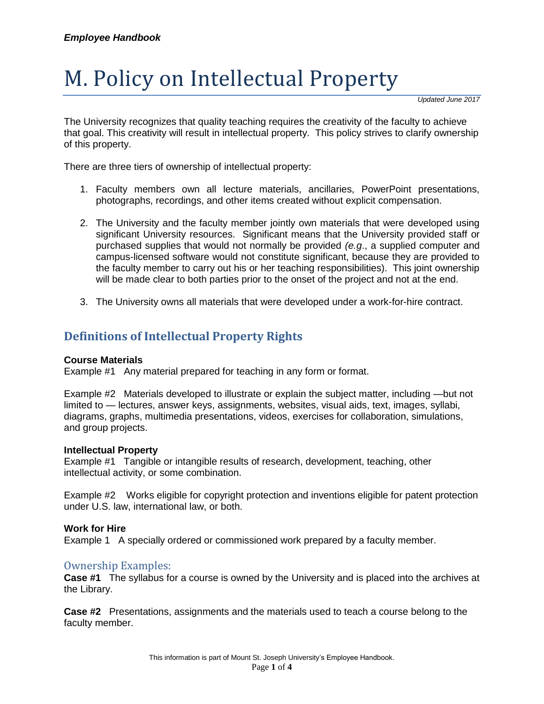# M. Policy on Intellectual Property

*Updated June 2017*

The University recognizes that quality teaching requires the creativity of the faculty to achieve that goal. This creativity will result in intellectual property. This policy strives to clarify ownership of this property.

There are three tiers of ownership of intellectual property:

- 1. Faculty members own all lecture materials, ancillaries, PowerPoint presentations, photographs, recordings, and other items created without explicit compensation.
- 2. The University and the faculty member jointly own materials that were developed using significant University resources. Significant means that the University provided staff or purchased supplies that would not normally be provided *(e.g*., a supplied computer and campus-licensed software would not constitute significant, because they are provided to the faculty member to carry out his or her teaching responsibilities). This joint ownership will be made clear to both parties prior to the onset of the project and not at the end.
- 3. The University owns all materials that were developed under a work-for-hire contract.

## **Definitions of Intellectual Property Rights**

#### **Course Materials**

Example #1 Any material prepared for teaching in any form or format.

Example #2 Materials developed to illustrate or explain the subject matter, including —but not limited to — lectures, answer keys, assignments, websites, visual aids, text, images, syllabi, diagrams, graphs, multimedia presentations, videos, exercises for collaboration, simulations, and group projects.

#### **Intellectual Property**

Example #1 Tangible or intangible results of research, development, teaching, other intellectual activity, or some combination.

Example #2 Works eligible for copyright protection and inventions eligible for patent protection under U.S. law, international law, or both.

#### **Work for Hire**

Example 1 A specially ordered or commissioned work prepared by a faculty member.

#### Ownership Examples:

**Case #1** The syllabus for a course is owned by the University and is placed into the archives at the Library.

**Case #2** Presentations, assignments and the materials used to teach a course belong to the faculty member.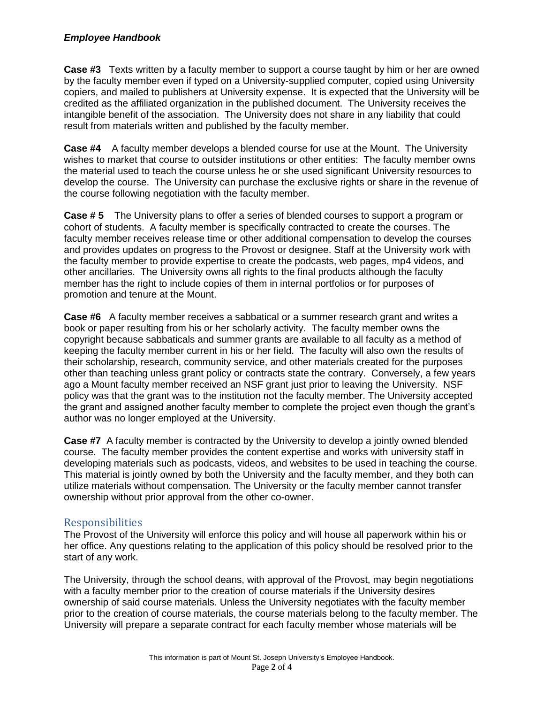#### *Employee Handbook*

**Case #3** Texts written by a faculty member to support a course taught by him or her are owned by the faculty member even if typed on a University-supplied computer, copied using University copiers, and mailed to publishers at University expense. It is expected that the University will be credited as the affiliated organization in the published document. The University receives the intangible benefit of the association. The University does not share in any liability that could result from materials written and published by the faculty member.

**Case #4** A faculty member develops a blended course for use at the Mount. The University wishes to market that course to outsider institutions or other entities: The faculty member owns the material used to teach the course unless he or she used significant University resources to develop the course. The University can purchase the exclusive rights or share in the revenue of the course following negotiation with the faculty member.

**Case # 5** The University plans to offer a series of blended courses to support a program or cohort of students. A faculty member is specifically contracted to create the courses. The faculty member receives release time or other additional compensation to develop the courses and provides updates on progress to the Provost or designee. Staff at the University work with the faculty member to provide expertise to create the podcasts, web pages, mp4 videos, and other ancillaries. The University owns all rights to the final products although the faculty member has the right to include copies of them in internal portfolios or for purposes of promotion and tenure at the Mount.

**Case #6** A faculty member receives a sabbatical or a summer research grant and writes a book or paper resulting from his or her scholarly activity. The faculty member owns the copyright because sabbaticals and summer grants are available to all faculty as a method of keeping the faculty member current in his or her field. The faculty will also own the results of their scholarship, research, community service, and other materials created for the purposes other than teaching unless grant policy or contracts state the contrary. Conversely, a few years ago a Mount faculty member received an NSF grant just prior to leaving the University. NSF policy was that the grant was to the institution not the faculty member. The University accepted the grant and assigned another faculty member to complete the project even though the grant's author was no longer employed at the University.

**Case #7** A faculty member is contracted by the University to develop a jointly owned blended course. The faculty member provides the content expertise and works with university staff in developing materials such as podcasts, videos, and websites to be used in teaching the course. This material is jointly owned by both the University and the faculty member, and they both can utilize materials without compensation. The University or the faculty member cannot transfer ownership without prior approval from the other co-owner.

#### Responsibilities

The Provost of the University will enforce this policy and will house all paperwork within his or her office. Any questions relating to the application of this policy should be resolved prior to the start of any work.

The University, through the school deans, with approval of the Provost, may begin negotiations with a faculty member prior to the creation of course materials if the University desires ownership of said course materials. Unless the University negotiates with the faculty member prior to the creation of course materials, the course materials belong to the faculty member. The University will prepare a separate contract for each faculty member whose materials will be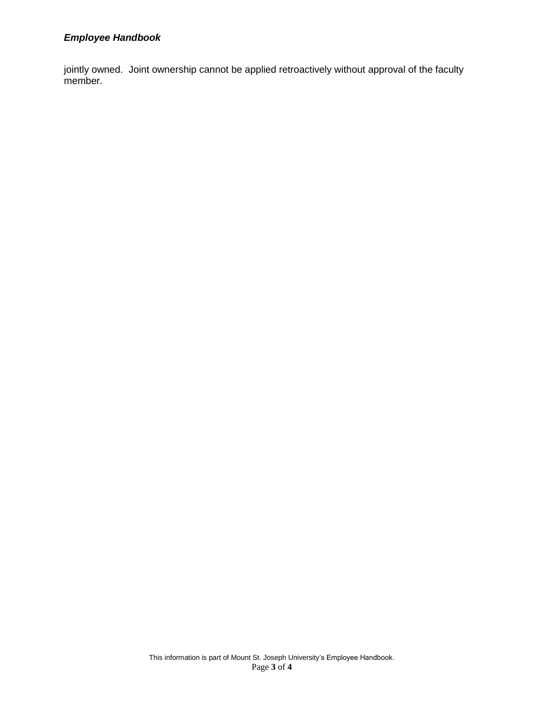## *Employee Handbook*

jointly owned. Joint ownership cannot be applied retroactively without approval of the faculty member.